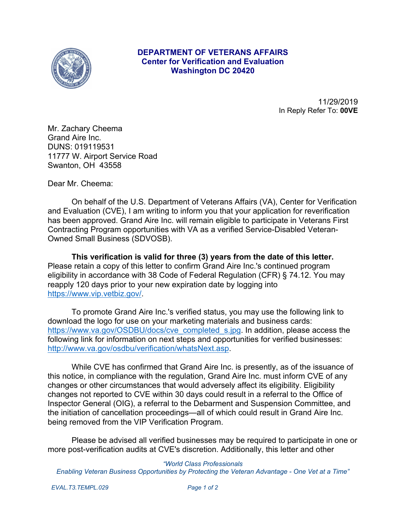

## **DEPARTMENT OF VETERANS AFFAIRS Center for Verification and Evaluation Washington DC 20420**

11/29/2019 In Reply Refer To: **00VE**

Mr. Zachary Cheema Grand Aire Inc. DUNS: 019119531 11777 W. Airport Service Road Swanton, OH 43558

Dear Mr. Cheema:

On behalf of the U.S. Department of Veterans Affairs (VA), Center for Verification and Evaluation (CVE), I am writing to inform you that your application for reverification has been approved. Grand Aire Inc. will remain eligible to participate in Veterans First Contracting Program opportunities with VA as a verified Service-Disabled Veteran-Owned Small Business (SDVOSB).

**This verification is valid for three (3) years from the date of this letter.**  Please retain a copy of this letter to confirm Grand Aire Inc.'s continued program eligibility in accordance with 38 Code of Federal Regulation (CFR) § 74.12. You may reapply 120 days prior to your new expiration date by logging into <https://www.vip.vetbiz.gov/>.

To promote Grand Aire Inc.'s verified status, you may use the following link to download the logo for use on your marketing materials and business cards: [https://www.va.gov/OSDBU/docs/cve\\_completed\\_s.jpg](https://www.va.gov/OSDBU/docs/cve_completed_s.jpg). In addition, please access the following link for information on next steps and opportunities for verified businesses: <http://www.va.gov/osdbu/verification/whatsNext.asp>.

While CVE has confirmed that Grand Aire Inc. is presently, as of the issuance of this notice, in compliance with the regulation, Grand Aire Inc. must inform CVE of any changes or other circumstances that would adversely affect its eligibility. Eligibility changes not reported to CVE within 30 days could result in a referral to the Office of Inspector General (OIG), a referral to the Debarment and Suspension Committee, and the initiation of cancellation proceedings—all of which could result in Grand Aire Inc. being removed from the VIP Verification Program.

Please be advised all verified businesses may be required to participate in one or more post-verification audits at CVE's discretion. Additionally, this letter and other

*"World Class Professionals Enabling Veteran Business Opportunities by Protecting the Veteran Advantage - One Vet at a Time"*